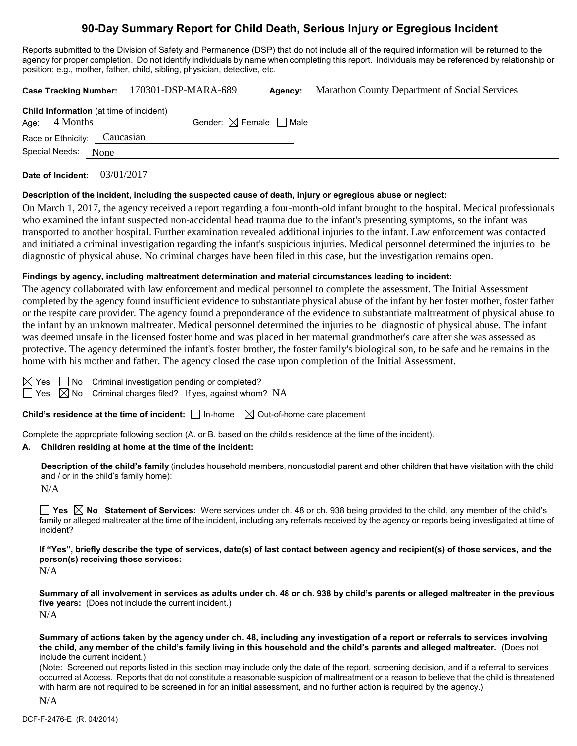# **90-Day Summary Report for Child Death, Serious Injury or Egregious Incident**

Reports submitted to the Division of Safety and Permanence (DSP) that do not include all of the required information will be returned to the agency for proper completion. Do not identify individuals by name when completing this report. Individuals may be referenced by relationship or position; e.g., mother, father, child, sibling, physician, detective, etc.

|                                                                   | Case Tracking Number: 170301-DSP-MARA-689 | Agency: | Marathon County Department of Social Services |
|-------------------------------------------------------------------|-------------------------------------------|---------|-----------------------------------------------|
| <b>Child Information</b> (at time of incident)<br>Age: $4$ Months | Gender: $\boxtimes$ Female $\Box$ Male    |         |                                               |
| Race or Ethnicity: Caucasian                                      |                                           |         |                                               |
| Special Needs: None                                               |                                           |         |                                               |
|                                                                   |                                           |         |                                               |

**Date of Incident:** 03/01/2017

#### **Description of the incident, including the suspected cause of death, injury or egregious abuse or neglect:**

On March 1, 2017, the agency received a report regarding a four-month-old infant brought to the hospital. Medical professionals who examined the infant suspected non-accidental head trauma due to the infant's presenting symptoms, so the infant was transported to another hospital. Further examination revealed additional injuries to the infant. Law enforcement was contacted and initiated a criminal investigation regarding the infant's suspicious injuries. Medical personnel determined the injuries to be diagnostic of physical abuse. No criminal charges have been filed in this case, but the investigation remains open.

#### **Findings by agency, including maltreatment determination and material circumstances leading to incident:**

The agency collaborated with law enforcement and medical personnel to complete the assessment. The Initial Assessment completed by the agency found insufficient evidence to substantiate physical abuse of the infant by her foster mother, foster father or the respite care provider. The agency found a preponderance of the evidence to substantiate maltreatment of physical abuse to the infant by an unknown maltreater. Medical personnel determined the injuries to be diagnostic of physical abuse. The infant was deemed unsafe in the licensed foster home and was placed in her maternal grandmother's care after she was assessed as protective. The agency determined the infant's foster brother, the foster family's biological son, to be safe and he remains in the home with his mother and father. The agency closed the case upon completion of the Initial Assessment.

 $\boxtimes$  Yes  $\Box$  No Criminal investigation pending or completed?

 $\Box$  Yes  $\Box$  No Criminal charges filed? If yes, against whom? NA

**Child's residence at the time of incident:**  $\Box$  In-home  $\Box$  Out-of-home care placement

Complete the appropriate following section (A. or B. based on the child's residence at the time of the incident).

#### **A. Children residing at home at the time of the incident:**

**Description of the child's family** (includes household members, noncustodial parent and other children that have visitation with the child and / or in the child's family home):

N/A

**Yes**  $\boxtimes$  **No** Statement of Services: Were services under ch. 48 or ch. 938 being provided to the child, any member of the child's family or alleged maltreater at the time of the incident, including any referrals received by the agency or reports being investigated at time of incident?

**If "Yes", briefly describe the type of services, date(s) of last contact between agency and recipient(s) of those services, and the person(s) receiving those services:**

N/A

**Summary of all involvement in services as adults under ch. 48 or ch. 938 by child's parents or alleged maltreater in the previous five years:** (Does not include the current incident.) N/A

**Summary of actions taken by the agency under ch. 48, including any investigation of a report or referrals to services involving the child, any member of the child's family living in this household and the child's parents and alleged maltreater.** (Does not include the current incident.)

(Note: Screened out reports listed in this section may include only the date of the report, screening decision, and if a referral to services occurred at Access. Reports that do not constitute a reasonable suspicion of maltreatment or a reason to believe that the child is threatened with harm are not required to be screened in for an initial assessment, and no further action is required by the agency.)

N/A